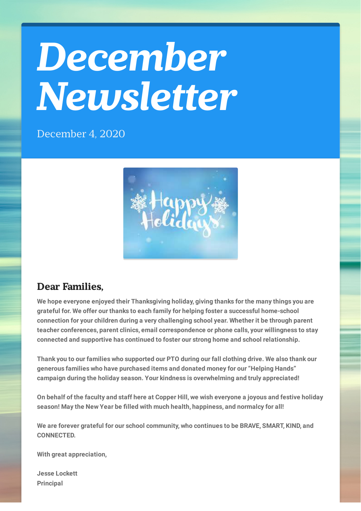## *December Newsletter*

December 4, 2020



## **Dear Families,**

**We hope everyone enjoyed their Thanksgiving holiday, giving thanks for the many things you are grateful for. We offer our thanks to each family for helping foster a successful home-school connection for your children during a very challenging school year. Whether it be through parent teacher conferences, parent clinics, email correspondence or phone calls, your willingness to stay connected and supportive has continued to foster our strong home and school relationship.**

**Thank you to our families who supported our PTO during our fall clothing drive. We also thank our generous families who have purchased items and donated money for our "Helping Hands" campaign during the holiday season. Your kindness is overwhelming and truly appreciated!**

On behalf of the faculty and staff here at Copper Hill, we wish everyone a joyous and festive holiday **season! May the New Year be lled with much health, happiness, and normalcy for all!**

**We are forever grateful for our school community, who continues to be BRAVE, SMART, KIND, and CONNECTED.**

**With great appreciation,**

**Jesse Lockett Principal**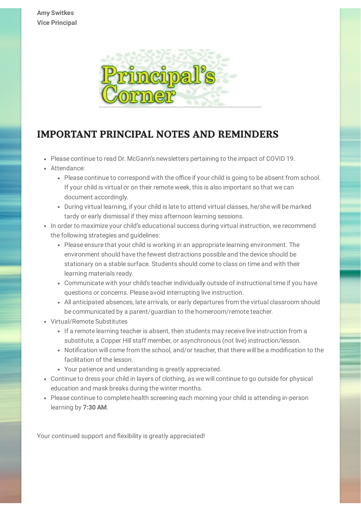

## **IMPORTANT PRINCIPAL NOTES AND REMINDERS**

- Please continue to read Dr. McGann's newsletters pertaining to the impact of COVID 19.
- Attendance:
	- Please continue to correspond with the office if your child is going to be absent from school. If your child is virtual or on their remote week, this is also important so that we can document accordingly.
	- During virtual learning, if your child is late to attend virtual classes, he/she will be marked tardy or early dismissal if they miss afternoon learning sessions.
- In order to maximize your child's educational success during virtual instruction, we recommend the following strategies and guidelines:
	- Please ensure that your child is working in an appropriate learning environment. The environment should have the fewest distractions possible and the device should be stationary on a stable surface. Students should come to class on time and with their learning materials ready.
	- Communicate with your child's teacher individually outside of instructional time if you have questions or concerns. Please avoid interrupting live instruction.
	- All anticipated absences, late arrivals, or early departures from the virtual classroom should be communicated by a parent/guardian to the homeroom/remote teacher.
- Virtual/Remote Substitutes
	- If a remote learning teacher is absent, then students may receive live instruction from a substitute, a Copper Hill staff member, or asynchronous (not live) instruction/lesson.
	- Notification will come from the school, and/or teacher, that there will be a modification to the facilitation of the lesson.
	- Your patience and understanding is greatly appreciated.
- Continue to dress your child in layers of clothing, as we will continue to go outside for physical education and mask breaks during the winter months.
- Please continue to complete health screening each morning your child is attending in-person learning by **7:30 AM**.

Your continued support and flexibility is greatly appreciated!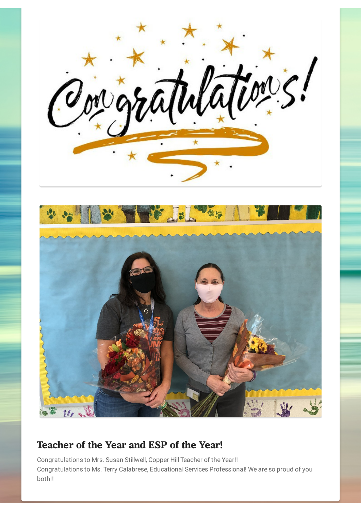



## **Teacher of the Year and ESP of the Year!**

Congratulations to Mrs. Susan Stillwell, Copper Hill Teacher of the Year!! Congratulations to Ms. Terry Calabrese, Educational Services Professional! We are so proud of you both!!